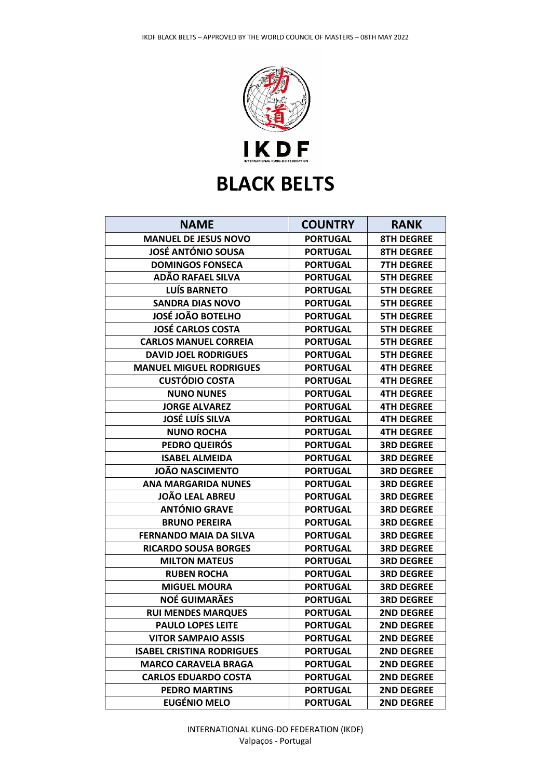

| <b>NAME</b>                      | <b>COUNTRY</b>  | <b>RANK</b>       |
|----------------------------------|-----------------|-------------------|
| <b>MANUEL DE JESUS NOVO</b>      | <b>PORTUGAL</b> | <b>8TH DEGREE</b> |
| <b>JOSÉ ANTÓNIO SOUSA</b>        | <b>PORTUGAL</b> | <b>8TH DEGREE</b> |
| <b>DOMINGOS FONSECA</b>          | <b>PORTUGAL</b> | <b>7TH DEGREE</b> |
| ADÃO RAFAEL SILVA                | <b>PORTUGAL</b> | <b>5TH DEGREE</b> |
| LUÍS BARNETO                     | <b>PORTUGAL</b> | <b>5TH DEGREE</b> |
| <b>SANDRA DIAS NOVO</b>          | <b>PORTUGAL</b> | <b>5TH DEGREE</b> |
| <b>JOSÉ JOÃO BOTELHO</b>         | <b>PORTUGAL</b> | <b>5TH DEGREE</b> |
| <b>JOSÉ CARLOS COSTA</b>         | <b>PORTUGAL</b> | <b>5TH DEGREE</b> |
| <b>CARLOS MANUEL CORREIA</b>     | <b>PORTUGAL</b> | <b>5TH DEGREE</b> |
| <b>DAVID JOEL RODRIGUES</b>      | <b>PORTUGAL</b> | <b>5TH DEGREE</b> |
| <b>MANUEL MIGUEL RODRIGUES</b>   | <b>PORTUGAL</b> | <b>4TH DEGREE</b> |
| <b>CUSTÓDIO COSTA</b>            | <b>PORTUGAL</b> | <b>4TH DEGREE</b> |
| <b>NUNO NUNES</b>                | <b>PORTUGAL</b> | <b>4TH DEGREE</b> |
| <b>JORGE ALVAREZ</b>             | <b>PORTUGAL</b> | <b>4TH DEGREE</b> |
| <b>JOSÉ LUÍS SILVA</b>           | <b>PORTUGAL</b> | <b>4TH DEGREE</b> |
| <b>NUNO ROCHA</b>                | <b>PORTUGAL</b> | <b>4TH DEGREE</b> |
| <b>PEDRO QUEIRÓS</b>             | <b>PORTUGAL</b> | <b>3RD DEGREE</b> |
| <b>ISABEL ALMEIDA</b>            | <b>PORTUGAL</b> | <b>3RD DEGREE</b> |
| <b>JOÃO NASCIMENTO</b>           | <b>PORTUGAL</b> | <b>3RD DEGREE</b> |
| <b>ANA MARGARIDA NUNES</b>       | <b>PORTUGAL</b> | <b>3RD DEGREE</b> |
| <b>JOÃO LEAL ABREU</b>           | <b>PORTUGAL</b> | <b>3RD DEGREE</b> |
| <b>ANTÓNIO GRAVE</b>             | <b>PORTUGAL</b> | <b>3RD DEGREE</b> |
| <b>BRUNO PEREIRA</b>             | <b>PORTUGAL</b> | <b>3RD DEGREE</b> |
| <b>FERNANDO MAIA DA SILVA</b>    | <b>PORTUGAL</b> | <b>3RD DEGREE</b> |
| <b>RICARDO SOUSA BORGES</b>      | <b>PORTUGAL</b> | <b>3RD DEGREE</b> |
| <b>MILTON MATEUS</b>             | <b>PORTUGAL</b> | <b>3RD DEGREE</b> |
| <b>RUBEN ROCHA</b>               | <b>PORTUGAL</b> | <b>3RD DEGREE</b> |
| <b>MIGUEL MOURA</b>              | <b>PORTUGAL</b> | <b>3RD DEGREE</b> |
| <b>NOÉ GUIMARÃES</b>             | <b>PORTUGAL</b> | <b>3RD DEGREE</b> |
| <b>RUI MENDES MARQUES</b>        | <b>PORTUGAL</b> | <b>2ND DEGREE</b> |
| <b>PAULO LOPES LEITE</b>         | <b>PORTUGAL</b> | <b>2ND DEGREE</b> |
| <b>VITOR SAMPAIO ASSIS</b>       | <b>PORTUGAL</b> | <b>2ND DEGREE</b> |
| <b>ISABEL CRISTINA RODRIGUES</b> | <b>PORTUGAL</b> | <b>2ND DEGREE</b> |
| <b>MARCO CARAVELA BRAGA</b>      | <b>PORTUGAL</b> | <b>2ND DEGREE</b> |
| <b>CARLOS EDUARDO COSTA</b>      | <b>PORTUGAL</b> | <b>2ND DEGREE</b> |
| <b>PEDRO MARTINS</b>             | <b>PORTUGAL</b> | <b>2ND DEGREE</b> |
| <b>EUGÉNIO MELO</b>              | <b>PORTUGAL</b> | <b>2ND DEGREE</b> |